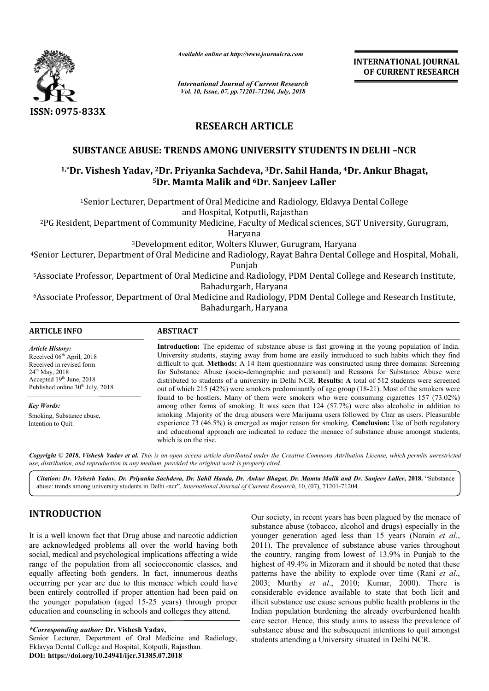

*Available online at http://www.journalcra.com*

*International Journal of Current Research Vol. 10, Issue, 07, pp.71201-71204, July, 2018*

**INTERNATIONAL JOURNAL OF CURRENT RESEARCH**

# **RESEARCH ARTICLE**

## **SUBSTANCE ABUSE: TRENDS : AMONG UNIVERSITY STUDENTS IN DELHI –NCR**

# <sup>1,</sup>\*Dr. Vishesh Yadav, <sup>2</sup>Dr. Priyanka Sachdeva, <sup>3</sup>Dr. Sahil Handa, <sup>4</sup>Dr. Ankur Bhagat, **5Dr. Mamta Malik and Dr. 6Dr. Sanjeev Laller**

1Senior Lecturer, Department of Oral Medicine and Radiology, Eklavya Dental College Senior and Hospital, Kotputli, Rajasthan

<sup>2</sup>PG Resident, Department of Community Medicine, Faculty of Medical sciences, SGT University, Gurugram,<br>Haryana

3Development editor, Wolters Kluwer, Development Gurugram, Haryana

4Senior Lecturer, Department of Oral Medicine and Radiology, Rayat Bahra Dental Colle Senior Punjab Department Oral Medicine Radiology, Rayat College and Hospital, Mohali,

<sup>5</sup>Associate Professor, Department of Oral Medicine and Radiology, PDM Dental College and Research Institute,<br>Bahadurgarh, Haryana

6Associate Professor, Department of Oral Medicine and Radiology, PDM Dental College and Research Institute, Associate Bahadurgarh, Haryana

| <b>ARTICLE INFO</b>                                                                                                                                                                     | <b>ABSTRACT</b>                                                                                                                                                                                                                                                                                                                                                                                                                                                                                                       |
|-----------------------------------------------------------------------------------------------------------------------------------------------------------------------------------------|-----------------------------------------------------------------------------------------------------------------------------------------------------------------------------------------------------------------------------------------------------------------------------------------------------------------------------------------------------------------------------------------------------------------------------------------------------------------------------------------------------------------------|
| <b>Article History:</b><br>Received $06th$ April, 2018<br>Received in revised form<br>$24^{th}$ May, 2018<br>Accepted $19th$ June, 2018<br>Published online 30 <sup>th</sup> July, 2018 | <b>Introduction:</b> The epidemic of substance abuse is fast growing in the young population of India.<br>University students, staying away from home are easily introduced to such habits which they find<br>difficult to quit. Methods: A 14 Item questionnaire was constructed using three domains: Screening<br>for Substance Abuse (socio-demographic and personal) and Reasons for Substance Abuse were<br>distributed to students of a university in Delhi NCR. Results: A total of 512 students were screened |
| <b>Key Words:</b>                                                                                                                                                                       | out of which 215 (42%) were smokers predominantly of age group (18-21). Most of the smokers were<br>found to be hostlers. Many of them were smokers who were consuming cigarettes 157 (73.02%)<br>among other forms of smoking. It was seen that $124$ (57.7%) were also alcoholic in addition to                                                                                                                                                                                                                     |
| Smoking, Substance abuse,<br>Intention to Ouit.                                                                                                                                         | smoking Majority of the drug abusers were Marijuana users followed by Char as users. Pleasurable<br>experience 73 $(46.5%)$ is emerged as major reason for smoking. <b>Conclusion:</b> Use of both regulatory<br>and educational approach are indicated to reduce the menace of substance abuse amongst students,<br>which is on the rise.                                                                                                                                                                            |

Copyright © 2018, Vishesh Yadav et al. This is an open access article distributed under the Creative Commons Attribution License, which permits unrestricted *use, distribution, and reproduction in any medium, provided the original work is properly cited.*

*Citation: Dr. Vishesh Yadav, Dr. Priyanka Sachdeva, Dr. Sahil Handa, Dr. Ankur Bhagat, Dr. Mamta Malik and Dr. Sanjeev Laller Sahil Dr. Mamta Dr. Laller***, 2018.** "Substance abuse: trends among university students in Delhi -ncr", *International Journal of Current Research*, 10, (07), 71201-71204.

# **INTRODUCTION**

It is a well known fact that Drug abuse and narcotic addiction are acknowledged problems all over the world having both social, medical and psychological implications affecting a wide range of the population from all socioeconomic classes, and equally affecting both genders. In fact, innumerous deaths occurring per year are due to this menace which could have been entirely controlled if proper attention had been paid on the younger population (aged 15-25 years) through proper education and counseling in schools and colleges they attend. rely controlled if proper attention had bet<br>ger population (aged 15-25 years) throu<br>and counseling in schools and colleges the<br>*nding author*: Dr. Vishesh Yadav,<br>ceturer, Department of Oral Medicine and<br>ental College and H

*\*Corresponding author:* **Dr. Vishesh Yadav,**

Senior Lecturer, Department of Oral Medicine and Radiology, Eklavya Dental College and Hospital, Kotputli, Rajasthan **DOI: https://doi.org/10.24941/ijcr.31385.07.2018**

Our society, in recent years has been plagued by the menace of<br>substance abuse (tobacco, alcohol and drugs) especially in the<br>the world having both 2011). The prevalence of substance abuse varies throughout<br>ications affect substance abuse (tobacco, alcohol and drugs) especially in the Our society, in recent years has been plagued by the menace of substance abuse (tobacco, alcohol and drugs) especially in the younger generation aged less than 15 years (Narain *et al.*, 2011). The prevalence of substance abuse varies throughout the country, ranging from lowest of 13.9% in Punjab to the highest of 49.4% in Mizoram and it should be noted that these patterns have the ability to explode over time (Rani  $et al.$ ) 2003; Murthy *et al*., 2010; Kumar, 2000). There is considerable evidence available to state that both licit and illicit substance use cause serious public health problems in the Indian population burdening the already overburdened health care sector. Hence, this study aims to assess the prevalence of substance abuse and the subsequent intentions to quit amongst students attending a University situated in Delhi NCR. 1). The prevalence of substance abuse varies throughout country, ranging from lowest of 13.9% in Punjab to the est of 49.4% in Mizoram and it should be noted that these erns have the ability to explode over time (Rani *et* INTEENATIONAL JOURNAL OF CURRENT RESEARCH<br>
July, 2018<br>
CLE<br>
CHE SITY STUDENTS IN DELHI -NCR<br>
THE SITY STUDENTS IN DELHI -NCR<br>
T. Sahil Handa, <sup>4</sup>Dr. Ankur Bhagat,<br>
Radiology, Eklavya Dental College<br>
agaignsham<br>
agaignsham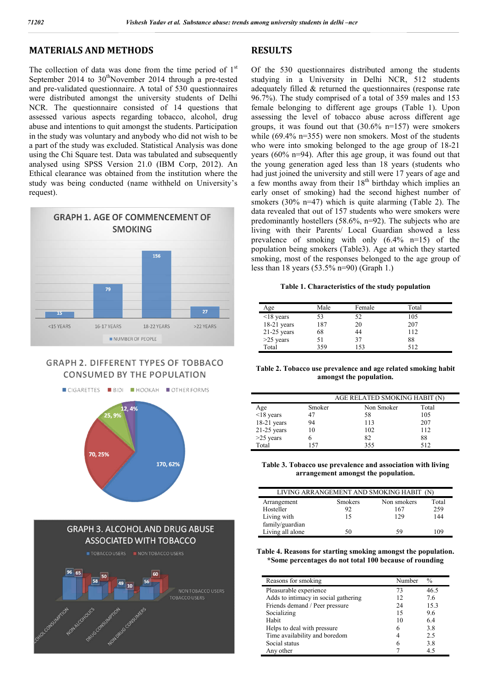# **MATERIALS AND METHODS**

The collection of data was done from the time period of  $1<sup>st</sup>$ September 2014 to  $30<sup>th</sup>$ November 2014 through a pre-tested and pre-validated questionnaire. A total of 530 questionnaires were distributed amongst the university students of Delhi NCR. The questionnaire consisted of 14 questions that assessed various aspects regarding tobacco, alcohol, drug abuse and intentions to quit amongst the students. Participation in the study was voluntary and anybody who did not wish to be a part of the study was excluded. Statistical Analysis was done using the Chi Square test. Data was tabulated and subsequently analysed using SPSS Version 21.0 (IBM Corp, 2012). An Ethical clearance was obtained from the institution where the study was being conducted (name withheld on University's request).



## **GRAPH 2. DIFFERENT TYPES OF TOBBACO CONSUMED BY THE POPULATION**



## **RESULTS**

Of the 530 questionnaires distributed among the students studying in a University in Delhi NCR, 512 students adequately filled & returned the questionnaires (response rate 96.7%). The study comprised of a total of 359 males and 153 female belonging to different age groups (Table 1). Upon assessing the level of tobacco abuse across different age groups, it was found out that (30.6% n=157) were smokers while (69.4% n=355) were non smokers. Most of the students who were into smoking belonged to the age group of 18-21 years (60% n=94). After this age group, it was found out that the young generation aged less than 18 years (students who had just joined the university and still were 17 years of age and a few months away from their  $18<sup>th</sup>$  birthday which implies an early onset of smoking) had the second highest number of smokers (30% n=47) which is quite alarming (Table 2). The data revealed that out of 157 students who were smokers were predominantly hostellers (58.6%, n=92). The subjects who are living with their Parents/ Local Guardian showed a less prevalence of smoking with only (6.4% n=15) of the population being smokers (Table3). Age at which they started smoking, most of the responses belonged to the age group of less than 18 years (53.5% n=90) (Graph 1.)

#### **Table 1. Characteristics of the study population**

| Age             | Male | Female | Total |  |
|-----------------|------|--------|-------|--|
| $\leq$ 18 years | 53   | 52     | 105   |  |
| 18-21 years     | 187  | 20     | 207   |  |
| $21-25$ years   | 68   | 44     | 112   |  |
| $>25$ years     | 51   | 37     | 88    |  |
| Total           | 359  | 153    | 512   |  |

**Table 2. Tobacco use prevalence and age related smoking habit amongst the population.**

|                 |        | AGE RELATED SMOKING HABIT (N) |       |  |
|-----------------|--------|-------------------------------|-------|--|
| Age             | Smoker | Non Smoker                    | Total |  |
| $\leq$ 18 years | 47     | 58                            | 105   |  |
| 18-21 years     | 94     | 113                           | 207   |  |
| $21-25$ years   | 10     | 102                           | 112   |  |
| $>25$ years     |        | 82                            | 88    |  |
| Total           | 157    | 355                           | 512   |  |

**Table 3. Tobacco use prevalence and association with living arrangement amongst the population.**

| LIVING ARRANGEMENT AND SMOKING HABIT (N) |                |             |       |  |
|------------------------------------------|----------------|-------------|-------|--|
| Arrangement                              | <b>Smokers</b> | Non smokers | Total |  |
| Hosteller                                | 92             | 167         | 259   |  |
| Living with                              | 15             | 129         | 144   |  |
| family/guardian                          |                |             |       |  |
| Living all alone                         | 50             | 59          | 109   |  |

**Table 4. Reasons for starting smoking amongst the population. \*Some percentages do not total 100 because of rounding**

| Reasons for smoking                  | Number | $\frac{0}{0}$ |
|--------------------------------------|--------|---------------|
| Pleasurable experience               | 73     | 46.5          |
| Adds to intimacy in social gathering | 12     | 7.6           |
| Friends demand / Peer pressure       | 24     | 15.3          |
| Socializing                          | 15     | 9.6           |
| Habit                                | 10     | 6.4           |
| Helps to deal with pressure          | 6      | 3.8           |
| Time availability and boredom        | 4      | 2.5           |
| Social status                        | 6      | 3.8           |
| Any other                            |        | 4.5           |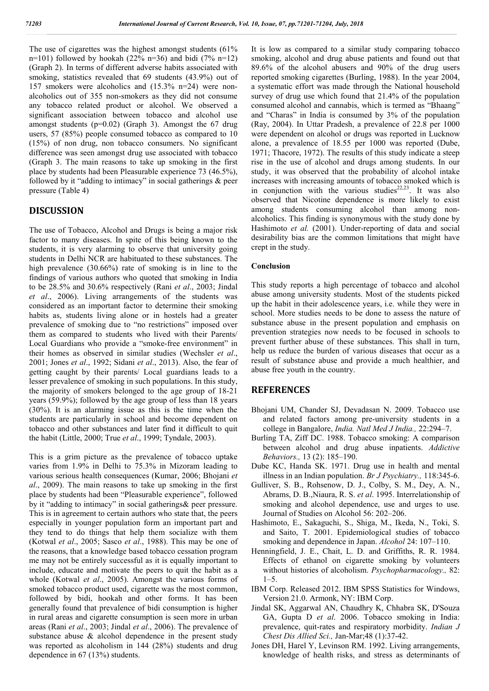The use of cigarettes was the highest amongst students (61%  $n=101$ ) followed by hookah (22% n=36) and bidi (7% n=12) (Graph 2). In terms of different adverse habits associated with smoking, statistics revealed that 69 students (43.9%) out of 157 smokers were alcoholics and (15.3% n=24) were nonalcoholics out of 355 non-smokers as they did not consume any tobacco related product or alcohol. We observed a significant association between tobacco and alcohol use amongst students (p=0.02) (Graph 3). Amongst the 67 drug users, 57 (85%) people consumed tobacco as compared to 10 (15%) of non drug, non tobacco consumers. No significant difference was seen amongst drug use associated with tobacco (Graph 3. The main reasons to take up smoking in the first place by students had been Pleasurable experience 73 (46.5%), followed by it "adding to intimacy" in social gatherings  $\&$  peer pressure (Table 4)

## **DISCUSSION**

The use of Tobacco, Alcohol and Drugs is being a major risk factor to many diseases. In spite of this being known to the students, it is very alarming to observe that university going students in Delhi NCR are habituated to these substances. The high prevalence (30.66%) rate of smoking is in line to the findings of various authors who quoted that smoking in India to be 28.5% and 30.6% respectively (Rani *et al*., 2003; Jindal *et al*., 2006). Living arrangements of the students was considered as an important factor to determine their smoking habits as, students living alone or in hostels had a greater prevalence of smoking due to "no restrictions" imposed over them as compared to students who lived with their Parents/ Local Guardians who provide a "smoke-free environment" in their homes as observed in similar studies (Wechsler *et al*., 2001; Jones *et al*., 1992; Sidani *et al*., 2013). Also, the fear of getting caught by their parents/ Local guardians leads to a lesser prevalence of smoking in such populations. In this study, the majority of smokers belonged to the age group of 18-21 years (59.9%); followed by the age group of less than 18 years (30%). It is an alarming issue as this is the time when the students are particularly in school and become dependent on tobacco and other substances and later find it difficult to quit the habit (Little, 2000; True *et al*., 1999; Tyndale, 2003).

This is a grim picture as the prevalence of tobacco uptake varies from 1.9% in Delhi to 75.3% in Mizoram leading to various serious health consequences (Kumar, 2006; Bhojani *et al*., 2009). The main reasons to take up smoking in the first place by students had been "Pleasurable experience", followed by it "adding to intimacy" in social gatherings& peer pressure. This is in agreement to certain authors who state that, the peers especially in younger population form an important part and they tend to do things that help them socialize with them (Kotwal *et al*., 2005; Sasco *et al*., 1988). This may be one of the reasons, that a knowledge based tobacco cessation program me may not be entirely successful as it is equally important to include, educate and motivate the peers to quit the habit as a whole (Kotwal *et al*., 2005). Amongst the various forms of smoked tobacco product used, cigarette was the most common, followed by bidi, hookah and other forms. It has been generally found that prevalence of bidi consumption is higher in rural areas and cigarette consumption is seen more in urban areas (Rani *et al*., 2003; Jindal *et al*., 2006). The prevalence of substance abuse & alcohol dependence in the present study was reported as alcoholism in 144 (28%) students and drug dependence in 67 (13%) students.

It is low as compared to a similar study comparing tobacco smoking, alcohol and drug abuse patients and found out that 89.6% of the alcohol abusers and 90% of the drug users reported smoking cigarettes (Burling, 1988). In the year 2004, a systematic effort was made through the National household survey of drug use which found that 21.4% of the population consumed alcohol and cannabis, which is termed as "Bhaang" and "Charas" in India is consumed by 3% of the population (Ray, 2004). In Uttar Pradesh, a prevalence of 22.8 per 1000 were dependent on alcohol or drugs was reported in Lucknow alone, a prevalence of 18.55 per 1000 was reported (Dube, 1971; Thacore, 1972). The results of this study indicate a steep rise in the use of alcohol and drugs among students. In our study, it was observed that the probability of alcohol intake increases with increasing amounts of tobacco smoked which is in conjunction with the various studies<sup>22,23</sup>. It was also observed that Nicotine dependence is more likely to exist among students consuming alcohol than among nonalcoholics. This finding is synonymous with the study done by Hashimoto et al. (2001). Under-reporting of data and social desirability bias are the common limitations that might have crept in the study.

#### **Conclusion**

This study reports a high percentage of tobacco and alcohol abuse among university students. Most of the students picked up the habit in their adolescence years, i.e. while they were in school. More studies needs to be done to assess the nature of substance abuse in the present population and emphasis on prevention strategies now needs to be focused in schools to prevent further abuse of these substances. This shall in turn, help us reduce the burden of various diseases that occur as a result of substance abuse and provide a much healthier, and abuse free youth in the country.

### **REFERENCES**

- Bhojani UM, Chander SJ, Devadasan N. 2009. Tobacco use and related factors among pre-university students in a college in Bangalore, *India. Natl Med J India.,* 22:294–7.
- Burling TA, Ziff DC. 1988. Tobacco smoking: A comparison between alcohol and drug abuse inpatients. *Addictive Behaviors.,* 13 (2): 185–190.
- Dube KC, Handa SK. 1971. Drug use in health and mental illness in an Indian population. *Br J Psychiatry.,* 118:345-6.
- Gulliver, S. B., Rohsenow, D. J., Colby, S. M., Dey, A. N., Abrams, D. B.,Niaura, R. S. *et al*. 1995. Interrelationship of smoking and alcohol dependence, use and urges to use. Journal of Studies on Alcohol 56: 202–206.
- Hashimoto, E., Sakaguchi, S., Shiga, M., Ikeda, N., Toki, S. and Saito, T. 2001. Epidemiological studies of tobacco smoking and dependence in Japan. *Alcohol* 24: 107–110.
- Henningfield, J. E., Chait, L. D. and Griffiths, R. R. 1984. Effects of ethanol on cigarette smoking by volunteers without histories of alcoholism. *Psychopharmacology.,* 82:  $1 - 5$ .
- IBM Corp. Released 2012. IBM SPSS Statistics for Windows, Version 21.0. Armonk, NY: IBM Corp.
- Jindal SK, Aggarwal AN, Chaudhry K, Chhabra SK, D'Souza GA, Gupta D *et al*. 2006. Tobacco smoking in India: prevalence, quit-rates and respiratory morbidity. *Indian J Chest Dis Allied Sci.,* Jan-Mar;48 (1):37-42.
- Jones DH, Harel Y, Levinson RM. 1992. Living arrangements, knowledge of health risks, and stress as determinants of